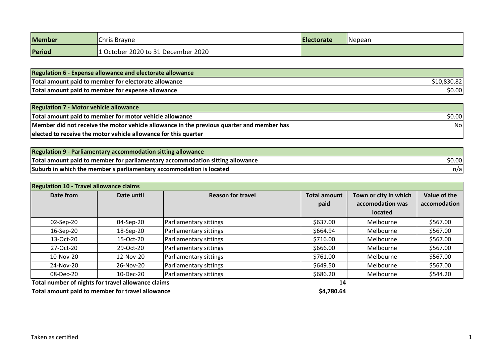| <b>Member</b> | Chris Brayne                       | <b>IElectorate</b> | Nepean |
|---------------|------------------------------------|--------------------|--------|
| Period        | 1 October 2020 to 31 December 2020 |                    |        |

| <b>Regulation 6 - Expense allowance and electorate allowance</b> |         |
|------------------------------------------------------------------|---------|
| Total amount paid to member for electorate allowance             | .oju.oz |
| Total amount paid to member for expense allowance                | \$0.00  |

| <b>Regulation 7 - Motor vehicle allowance</b>                                             |        |
|-------------------------------------------------------------------------------------------|--------|
| Total amount paid to member for motor vehicle allowance                                   | \$0.00 |
| Member did not receive the motor vehicle allowance in the previous quarter and member has | Nol    |
| elected to receive the motor vehicle allowance for this quarter                           |        |

| <b>Regulation 9 - Parliamentary accommodation sitting allowance</b>           |        |
|-------------------------------------------------------------------------------|--------|
| Total amount paid to member for parliamentary accommodation sitting allowance | \$0.00 |
| Suburb in which the member's parliamentary accommodation is located           | n/a    |

| <b>Regulation 10 - Travel allowance claims</b> |            |                          |                             |                                                      |                              |
|------------------------------------------------|------------|--------------------------|-----------------------------|------------------------------------------------------|------------------------------|
| Date from                                      | Date until | <b>Reason for travel</b> | <b>Total amount</b><br>paid | Town or city in which<br>accomodation was<br>located | Value of the<br>accomodation |
| 02-Sep-20                                      | 04-Sep-20  | Parliamentary sittings   | \$637.00                    | Melbourne                                            | \$567.00                     |
| 16-Sep-20                                      | 18-Sep-20  | Parliamentary sittings   | \$664.94                    | Melbourne                                            | \$567.00                     |
| 13-Oct-20                                      | 15-Oct-20  | Parliamentary sittings   | \$716.00                    | Melbourne                                            | \$567.00                     |
| 27-Oct-20                                      | 29-Oct-20  | Parliamentary sittings   | \$666.00                    | Melbourne                                            | \$567.00                     |
| 10-Nov-20                                      | 12-Nov-20  | Parliamentary sittings   | \$761.00                    | Melbourne                                            | \$567.00                     |
| 24-Nov-20                                      | 26-Nov-20  | Parliamentary sittings   | \$649.50                    | Melbourne                                            | \$567.00                     |
| 08-Dec-20                                      | 10-Dec-20  | Parliamentary sittings   | \$686.20                    | Melbourne                                            | \$544.20                     |

**Total number of nights for travel allowance claims 14**

Total amount paid to member for travel allowance **<b>\$4,780.64** \$4,780.64